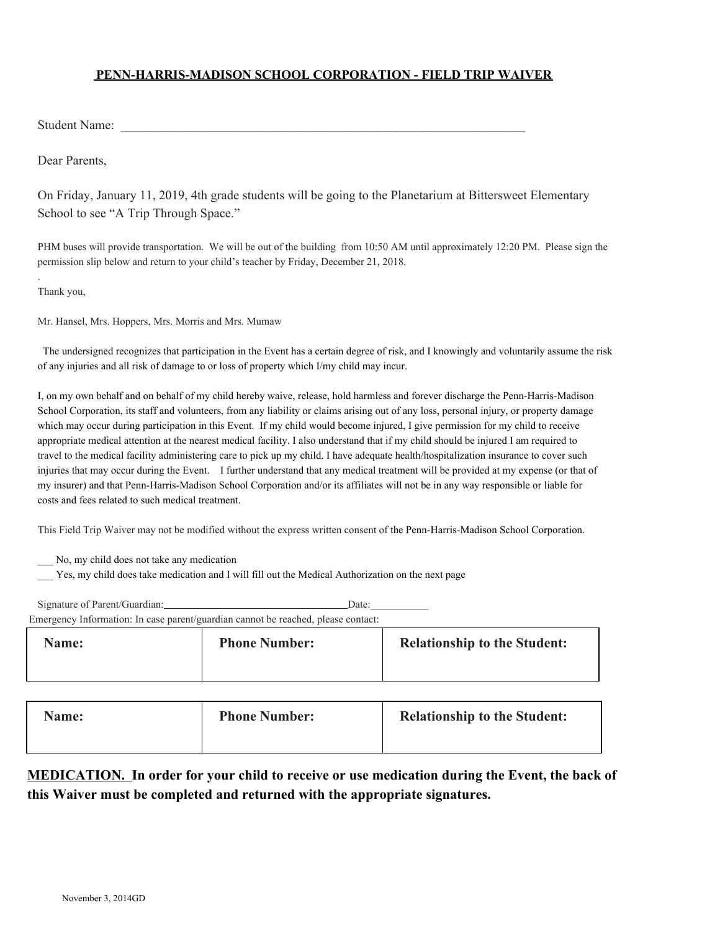### **PENN-HARRIS-MADISON SCHOOL CORPORATION - FIELD TRIP WAIVER**

Student Name:

Dear Parents,

On Friday, January 11, 2019, 4th grade students will be going to the Planetarium at Bittersweet Elementary School to see "A Trip Through Space."

PHM buses will provide transportation. We will be out of the building from 10:50 AM until approximately 12:20 PM. Please sign the permission slip below and return to your child's teacher by Friday, December 21, 2018.

Thank you,

.

Mr. Hansel, Mrs. Hoppers, Mrs. Morris and Mrs. Mumaw

 The undersigned recognizes that participation in the Event has a certain degree of risk, and I knowingly and voluntarily assume the risk of any injuries and all risk of damage to or loss of property which I/my child may incur.

I, on my own behalf and on behalf of my child hereby waive, release, hold harmless and forever discharge the Penn-Harris-Madison School Corporation, its staff and volunteers, from any liability or claims arising out of any loss, personal injury, or property damage which may occur during participation in this Event. If my child would become injured, I give permission for my child to receive appropriate medical attention at the nearest medical facility. I also understand that if my child should be injured I am required to travel to the medical facility administering care to pick up my child. I have adequate health/hospitalization insurance to cover such injuries that may occur during the Event. I further understand that any medical treatment will be provided at my expense (or that of my insurer) and that Penn-Harris-Madison School Corporation and/or its affiliates will not be in any way responsible or liable for costs and fees related to such medical treatment.

This Field Trip Waiver may not be modified without the express written consent of the Penn-Harris-Madison School Corporation.

\_\_\_ No, my child does not take any medication

\_\_\_ Yes, my child does take medication and I will fill out the Medical Authorization on the next page

Signature of Parent/Guardian: Date: Emergency Information: In case parent/guardian cannot be reached, please contact: **Name: Phone Number: Relationship to the Student:**

| гчанге. | т попетуанност. | <b>INTRODUSITY TO THE STRUCHT.</b> |
|---------|-----------------|------------------------------------|
|         |                 |                                    |
|         |                 |                                    |
|         |                 |                                    |
|         |                 |                                    |

| <b>Phone Number:</b><br><b>Name:</b> | <b>Relationship to the Student:</b> |
|--------------------------------------|-------------------------------------|
|--------------------------------------|-------------------------------------|

## **MEDICATION. In order for your child to receive or use medication during the Event, the back of this Waiver must be completed and returned with the appropriate signatures.**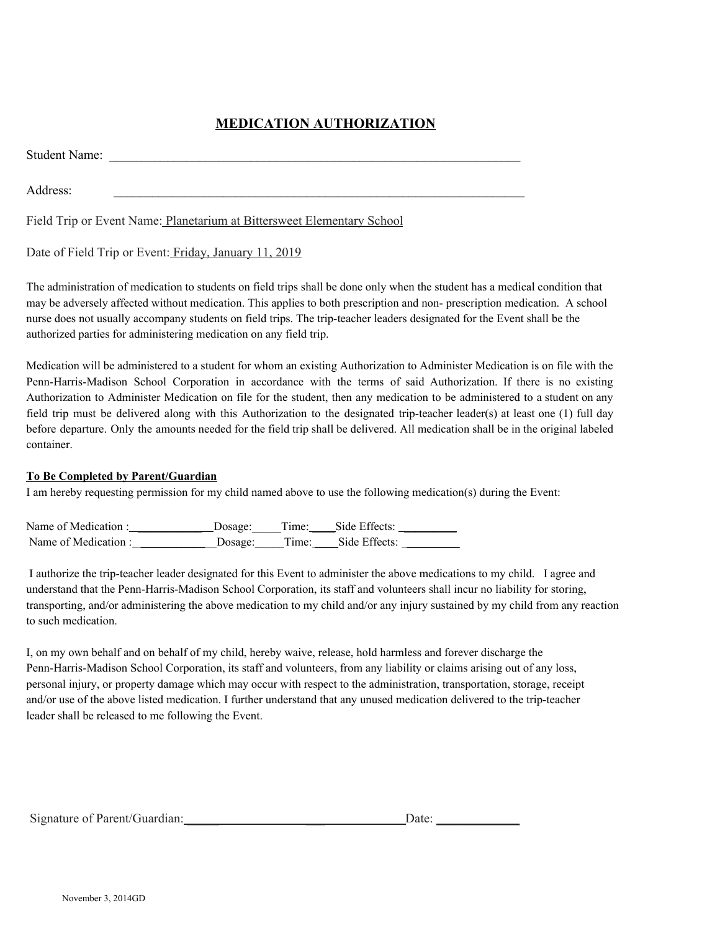# **MEDICATION AUTHORIZATION**

Student Name:

Address:

Field Trip or Event Name: Planetarium at Bittersweet Elementary School

#### Date of Field Trip or Event: Friday, January 11, 2019

The administration of medication to students on field trips shall be done only when the student has a medical condition that may be adversely affected without medication. This applies to both prescription and non- prescription medication. A school nurse does not usually accompany students on field trips. The trip-teacher leaders designated for the Event shall be the authorized parties for administering medication on any field trip.

Medication will be administered to a student for whom an existing Authorization to Administer Medication is on file with the Penn-Harris-Madison School Corporation in accordance with the terms of said Authorization. If there is no existing Authorization to Administer Medication on file for the student, then any medication to be administered to a student on any field trip must be delivered along with this Authorization to the designated trip-teacher leader(s) at least one (1) full day before departure. Only the amounts needed for the field trip shall be delivered. All medication shall be in the original labeled container.

#### **To Be Completed by Parent/Guardian**

I am hereby requesting permission for my child named above to use the following medication(s) during the Event:

| Name of Medication: | Dosage: | Time: | Side Effects: |
|---------------------|---------|-------|---------------|
| Name of Medication: | Dosage: | Time: | Side Effects: |

I authorize the trip-teacher leader designated for this Event to administer the above medications to my child. I agree and understand that the Penn-Harris-Madison School Corporation, its staff and volunteers shall incur no liability for storing, transporting, and/or administering the above medication to my child and/or any injury sustained by my child from any reaction to such medication.

I, on my own behalf and on behalf of my child, hereby waive, release, hold harmless and forever discharge the Penn-Harris-Madison School Corporation, its staff and volunteers, from any liability or claims arising out of any loss, personal injury, or property damage which may occur with respect to the administration, transportation, storage, receipt and/or use of the above listed medication. I further understand that any unused medication delivered to the trip-teacher leader shall be released to me following the Event.

| Signature of Parent/Guardian: | Date <sup>.</sup> |
|-------------------------------|-------------------|
|                               |                   |